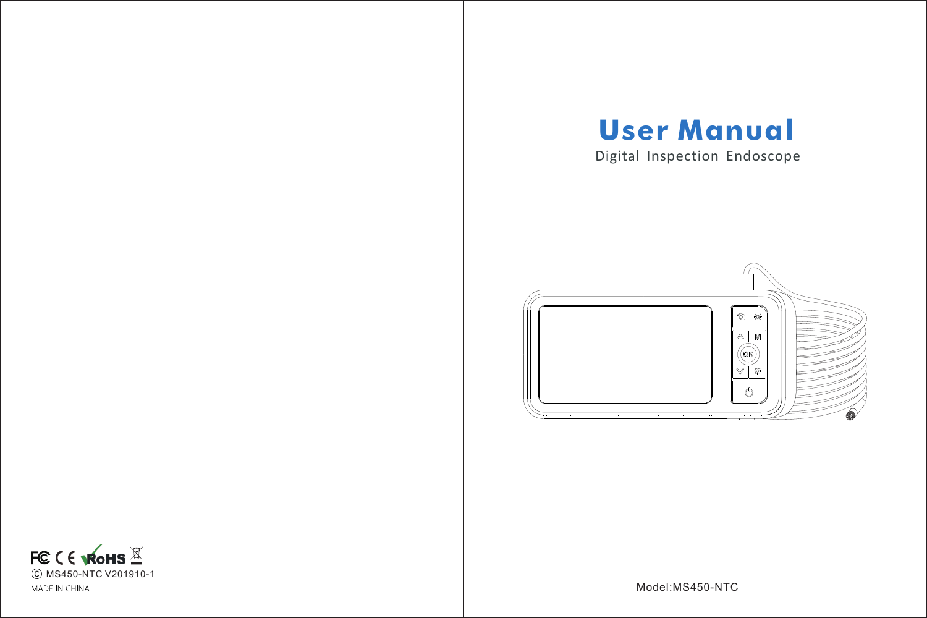# **User Manual**

Digital Inspection Endoscope





Model:MS450-NTC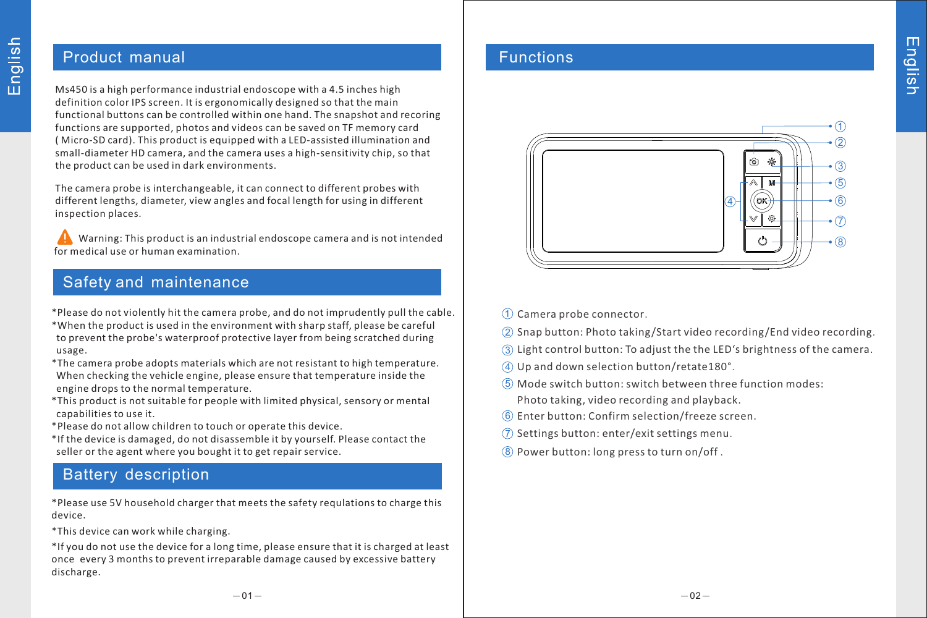## Product manual

Ms450 is a high performance industrial endoscope with a 4.5 inches high definition color IPS screen. It is ergonomically designed so that the main functional buttons can be controlled within one hand. The snapshot and recoring functions are supported, photos and videos can be saved on TF memory card ( Micro-SD card). This product is equipped with a LED-assisted illumination and small-diameter HD camera, and the camera uses a high-sensitivity chip, so that the product can be used in dark environments.

The camera probe is interchangeable, it can connect to different probes with different lengths, diameter, view angles and focal length for using in different inspection places.

 Warning: This product is an industrial endoscope camera and is not intended for medical use or human examination.

## Safety and maintenance

- \* Please do not violently hit the camera probe, and do not imprudently pull the cable.
- \*When the product is used in the environment with sharp staff, please be careful to prevent the probe's waterproof protective layer from being scratched during usage.
- \*The camera probe adopts materials which are not resistant to high temperature. When checking the vehicle engine, please ensure that temperature inside the engine drops to the normal temperature.
- \*This product is not suitable for people with limited physical, sensory or mental capabilities to use it.
- \*Please do not allow children to touch or operate this device.
- \*If the device is damaged, do not disassemble it by yourself. Please contact the seller or the agent where you bought it to get repair service.

# Battery description

\*Please use 5V household charger that meets the safety requlations to charge this device.

\*This device can work while charging.

\*If you do not use the device for a long time, please ensure that it is charged at least once every 3 months to prevent irreparable damage caused by excessive battery discharge.

## Functions



- $\mathfrak D$  Camera probe connector.
- $\widehat{\textcircled{2}}$  Snap button: Photo taking/Start video recording/End video recording.
- $\overline{3}$  Light control button: To adjust the the LED's brightness of the camera.
- Up and down selection button/retate180°. 4
- Mode switch button: switch between three function modes: 5 Photo taking, video recording and playback.
- $6$  Enter button: Confirm selection/freeze screen.
- $\widehat{\mathcal{D}}$  Settings button: enter/exit settings menu.
- Power button: long press to turn on/off . 8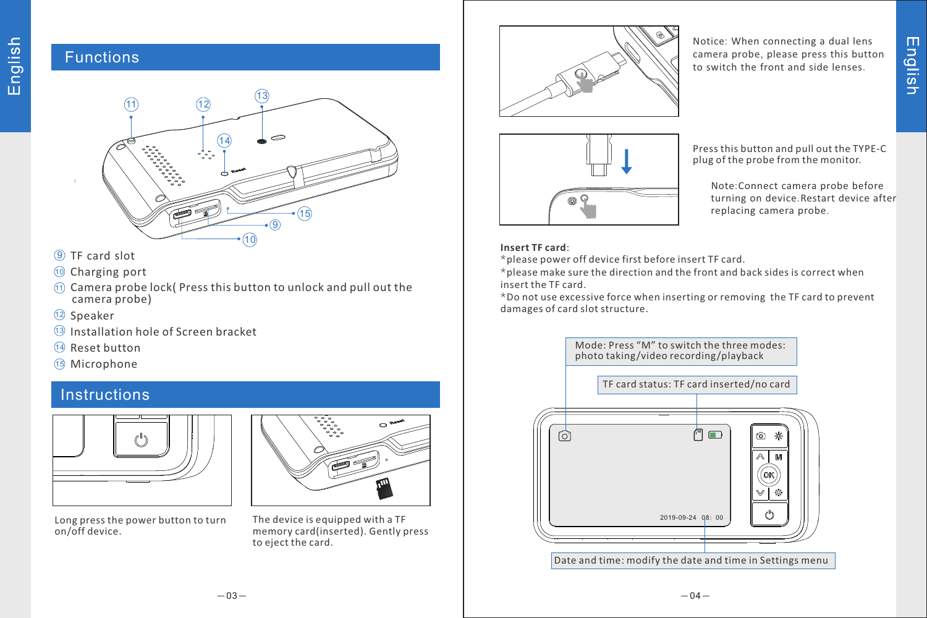## Functions



- 9 TF card slot
- $\textcircled{\tiny 10}$  Charging port
- $\textcircled{\tiny{1}}$  Camera probe lock( Press this button to unlock and pull out the camera probe)
- 12 Speaker
- 13 Installation hole of Screen bracket
- 14 Reset button
- 15 Microphone

# Instructions



Long press the power button to turn on/off device.



The device is equipped with a TF memory card(inserted). Gently press to eject the card.



Notice: When connecting a dual lens camera probe, please press this button to switch the front and side lenses.



Press this button and pull out the TYPE-C plug of the probe from the monitor.

Note:Connect camera probe before turning on device.Restart device after replacing camera probe.

## **Insert TF card**:

\*please power off device first before insert TF card.

\*please make sure the direction and the front and back sides is correct when insert the TF card.

\*Do not use excessive force when inserting or removing the TF card to prevent damages of card slot structure.